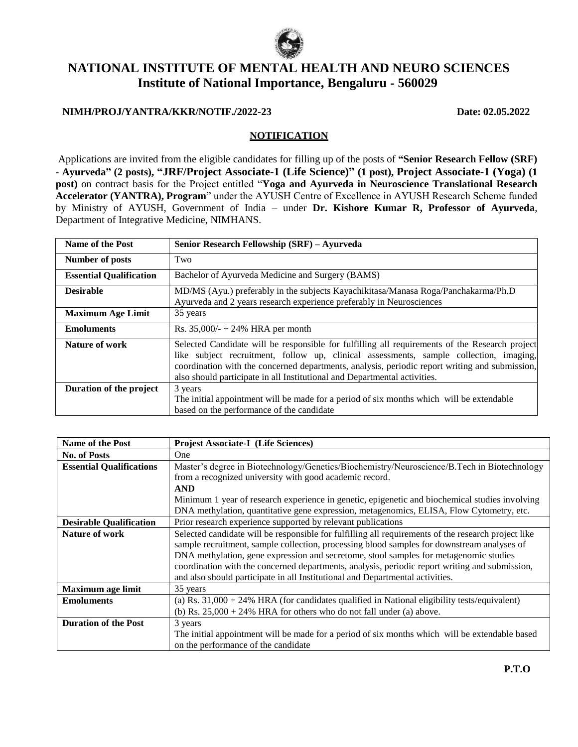

# **NATIONAL INSTITUTE OF MENTAL HEALTH AND NEURO SCIENCES Institute of National Importance, Bengaluru - 560029**

### **NIMH/PROJ/YANTRA/KKR/NOTIF./2022-23 Date: 02.05.2022**

#### **NOTIFICATION**

Applications are invited from the eligible candidates for filling up of the posts of **"Senior Research Fellow (SRF) - Ayurveda" (2 posts), "JRF/Project Associate-1 (Life Science)" (1 post), Project Associate-1 (Yoga) (1 post)** on contract basis for the Project entitled "**Yoga and Ayurveda in Neuroscience Translational Research Accelerator (YANTRA), Program**" under the AYUSH Centre of Excellence in AYUSH Research Scheme funded by Ministry of AYUSH, Government of India – under **Dr. Kishore Kumar R, Professor of Ayurveda**, Department of Integrative Medicine, NIMHANS.

| Name of the Post               | Senior Research Fellowship (SRF) - Ayurveda                                                                                                                                                                                                                                                                                                                             |
|--------------------------------|-------------------------------------------------------------------------------------------------------------------------------------------------------------------------------------------------------------------------------------------------------------------------------------------------------------------------------------------------------------------------|
| Number of posts                | Two                                                                                                                                                                                                                                                                                                                                                                     |
| <b>Essential Qualification</b> | Bachelor of Ayurveda Medicine and Surgery (BAMS)                                                                                                                                                                                                                                                                                                                        |
| <b>Desirable</b>               | MD/MS (Ayu.) preferably in the subjects Kayachikitasa/Manasa Roga/Panchakarma/Ph.D<br>Ayurveda and 2 years research experience preferably in Neurosciences                                                                                                                                                                                                              |
| <b>Maximum Age Limit</b>       | 35 years                                                                                                                                                                                                                                                                                                                                                                |
| <b>Emoluments</b>              | Rs. $35,000/ - + 24\%$ HRA per month                                                                                                                                                                                                                                                                                                                                    |
| Nature of work                 | Selected Candidate will be responsible for fulfilling all requirements of the Research project<br>like subject recruitment, follow up, clinical assessments, sample collection, imaging,<br>coordination with the concerned departments, analysis, periodic report writing and submission,<br>also should participate in all Institutional and Departmental activities. |
| Duration of the project        | 3 years<br>The initial appointment will be made for a period of six months which will be extendable<br>based on the performance of the candidate                                                                                                                                                                                                                        |

| <b>Name of the Post</b>         | <b>Projest Associate-I (Life Sciences)</b>                                                          |  |  |
|---------------------------------|-----------------------------------------------------------------------------------------------------|--|--|
| <b>No. of Posts</b>             | <b>One</b>                                                                                          |  |  |
| <b>Essential Qualifications</b> | Master's degree in Biotechnology/Genetics/Biochemistry/Neuroscience/B.Tech in Biotechnology         |  |  |
|                                 | from a recognized university with good academic record.                                             |  |  |
|                                 | <b>AND</b>                                                                                          |  |  |
|                                 | Minimum 1 year of research experience in genetic, epigenetic and biochemical studies involving      |  |  |
|                                 | DNA methylation, quantitative gene expression, metagenomics, ELISA, Flow Cytometry, etc.            |  |  |
| <b>Desirable Qualification</b>  | Prior research experience supported by relevant publications                                        |  |  |
| Nature of work                  | Selected candidate will be responsible for fulfilling all requirements of the research project like |  |  |
|                                 | sample recruitment, sample collection, processing blood samples for downstream analyses of          |  |  |
|                                 | DNA methylation, gene expression and secretome, stool samples for metagenomic studies               |  |  |
|                                 | coordination with the concerned departments, analysis, periodic report writing and submission,      |  |  |
|                                 | and also should participate in all Institutional and Departmental activities.                       |  |  |
| <b>Maximum age limit</b>        | 35 years                                                                                            |  |  |
| <b>Emoluments</b>               | (a) Rs. $31,000 + 24\%$ HRA (for candidates qualified in National eligibility tests/equivalent)     |  |  |
|                                 | (b) Rs. $25,000 + 24\%$ HRA for others who do not fall under (a) above.                             |  |  |
| <b>Duration of the Post</b>     | 3 years                                                                                             |  |  |
|                                 | The initial appointment will be made for a period of six months which will be extendable based      |  |  |
|                                 | on the performance of the candidate                                                                 |  |  |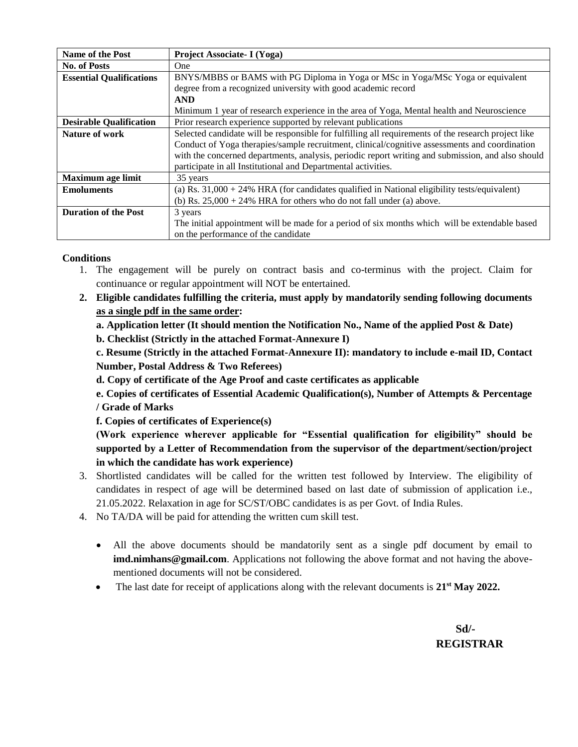| <b>Name of the Post</b>         | Project Associate- I (Yoga)                                                                         |  |  |
|---------------------------------|-----------------------------------------------------------------------------------------------------|--|--|
| No. of Posts                    | One.                                                                                                |  |  |
| <b>Essential Qualifications</b> | BNYS/MBBS or BAMS with PG Diploma in Yoga or MSc in Yoga/MSc Yoga or equivalent                     |  |  |
|                                 | degree from a recognized university with good academic record                                       |  |  |
|                                 | <b>AND</b>                                                                                          |  |  |
|                                 | Minimum 1 year of research experience in the area of Yoga, Mental health and Neuroscience           |  |  |
| <b>Desirable Qualification</b>  | Prior research experience supported by relevant publications                                        |  |  |
| Nature of work                  | Selected candidate will be responsible for fulfilling all requirements of the research project like |  |  |
|                                 | Conduct of Yoga therapies/sample recruitment, clinical/cognitive assessments and coordination       |  |  |
|                                 | with the concerned departments, analysis, periodic report writing and submission, and also should   |  |  |
|                                 | participate in all Institutional and Departmental activities.                                       |  |  |
| <b>Maximum age limit</b>        | 35 years                                                                                            |  |  |
| <b>Emoluments</b>               | (a) Rs. $31,000 + 24\%$ HRA (for candidates qualified in National eligibility tests/equivalent)     |  |  |
|                                 | (b) Rs. $25,000 + 24\%$ HRA for others who do not fall under (a) above.                             |  |  |
| <b>Duration of the Post</b>     | 3 years                                                                                             |  |  |
|                                 | The initial appointment will be made for a period of six months which will be extendable based      |  |  |
|                                 | on the performance of the candidate                                                                 |  |  |

# **Conditions**

- 1. The engagement will be purely on contract basis and co-terminus with the project. Claim for continuance or regular appointment will NOT be entertained.
- **2. Eligible candidates fulfilling the criteria, must apply by mandatorily sending following documents as a single pdf in the same order:**
	- **a. Application letter (It should mention the Notification No., Name of the applied Post & Date)**
	- **b. Checklist (Strictly in the attached Format-Annexure I)**

**c. Resume (Strictly in the attached Format-Annexure II): mandatory to include e-mail ID, Contact Number, Postal Address & Two Referees)**

**d. Copy of certificate of the Age Proof and caste certificates as applicable**

**e. Copies of certificates of Essential Academic Qualification(s), Number of Attempts & Percentage / Grade of Marks**

**f. Copies of certificates of Experience(s)**

**(Work experience wherever applicable for "Essential qualification for eligibility" should be supported by a Letter of Recommendation from the supervisor of the department/section/project in which the candidate has work experience)**

- 3. Shortlisted candidates will be called for the written test followed by Interview. The eligibility of candidates in respect of age will be determined based on last date of submission of application i.e., 21.05.2022. Relaxation in age for SC/ST/OBC candidates is as per Govt. of India Rules.
- 4. No TA/DA will be paid for attending the written cum skill test.
	- All the above documents should be mandatorily sent as a single pdf document by email to **imd.nimhans@gmail.com**. Applications not following the above format and not having the abovementioned documents will not be considered.
	- The last date for receipt of applications along with the relevant documents is **21st May 2022.**

 **Sd/- REGISTRAR**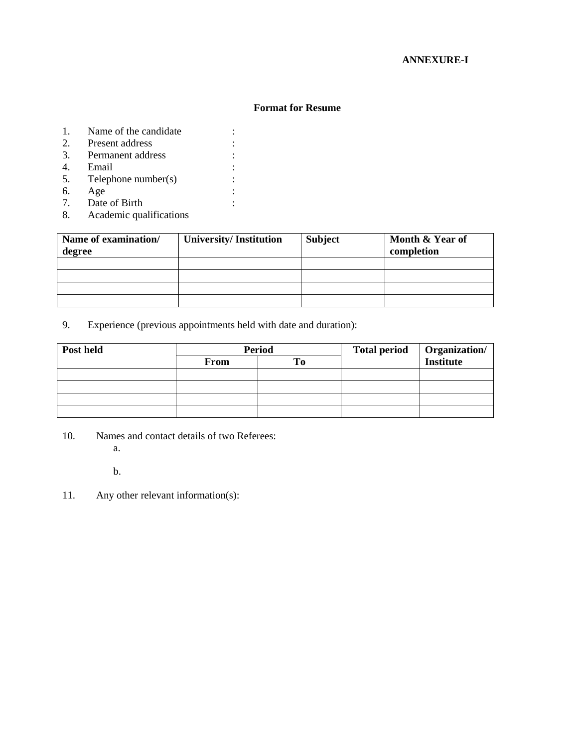# **ANNEXURE-I**

#### **Format for Resume**

- 1. Name of the candidate :
- 2. Present address :
- 3. Permanent address :
- 
- 4. Email :<br>5. Telephone number(s) : 5. Telephone number(s)
- 6. Age :
- 7. Date of Birth :
- 8. Academic qualifications

| Name of examination/<br>degree | <b>University/Institution</b> | <b>Subject</b> | Month & Year of<br>completion |
|--------------------------------|-------------------------------|----------------|-------------------------------|
|                                |                               |                |                               |
|                                |                               |                |                               |
|                                |                               |                |                               |
|                                |                               |                |                               |

9. Experience (previous appointments held with date and duration):

| Post held | <b>Period</b> |  | <b>Total period</b> | Organization/<br>Institute |
|-----------|---------------|--|---------------------|----------------------------|
|           | <b>From</b>   |  |                     |                            |
|           |               |  |                     |                            |
|           |               |  |                     |                            |
|           |               |  |                     |                            |
|           |               |  |                     |                            |

- 10. Names and contact details of two Referees:
	- a.

b.

11. Any other relevant information(s):